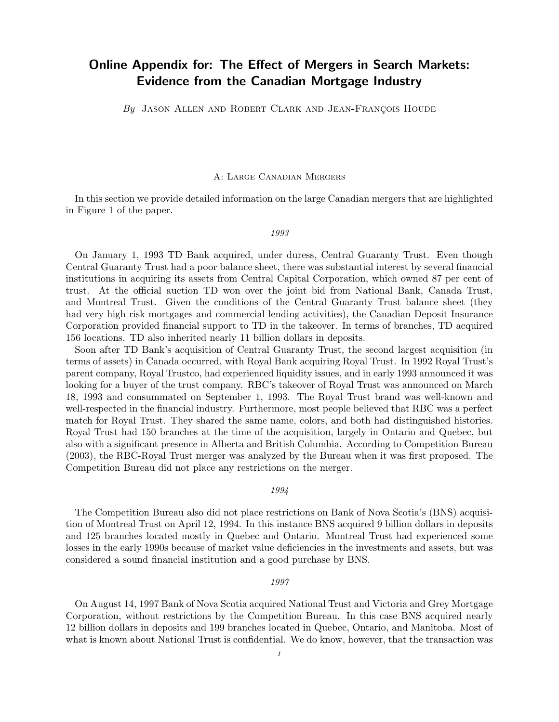# Online Appendix for: The Effect of Mergers in Search Markets: Evidence from the Canadian Mortgage Industry

By JASON ALLEN AND ROBERT CLARK AND JEAN-FRANÇOIS HOUDE

# A: Large Canadian Mergers

In this section we provide detailed information on the large Canadian mergers that are highlighted in Figure 1 of the paper.

#### 1993

On January 1, 1993 TD Bank acquired, under duress, Central Guaranty Trust. Even though Central Guaranty Trust had a poor balance sheet, there was substantial interest by several financial institutions in acquiring its assets from Central Capital Corporation, which owned 87 per cent of trust. At the official auction TD won over the joint bid from National Bank, Canada Trust, and Montreal Trust. Given the conditions of the Central Guaranty Trust balance sheet (they had very high risk mortgages and commercial lending activities), the Canadian Deposit Insurance Corporation provided financial support to TD in the takeover. In terms of branches, TD acquired 156 locations. TD also inherited nearly 11 billion dollars in deposits.

Soon after TD Bank's acquisition of Central Guaranty Trust, the second largest acquisition (in terms of assets) in Canada occurred, with Royal Bank acquiring Royal Trust. In 1992 Royal Trust's parent company, Royal Trustco, had experienced liquidity issues, and in early 1993 announced it was looking for a buyer of the trust company. RBC's takeover of Royal Trust was announced on March 18, 1993 and consummated on September 1, 1993. The Royal Trust brand was well-known and well-respected in the financial industry. Furthermore, most people believed that RBC was a perfect match for Royal Trust. They shared the same name, colors, and both had distinguished histories. Royal Trust had 150 branches at the time of the acquisition, largely in Ontario and Quebec, but also with a significant presence in Alberta and British Columbia. According to Competition Bureau (2003), the RBC-Royal Trust merger was analyzed by the Bureau when it was first proposed. The Competition Bureau did not place any restrictions on the merger.

# 1994

The Competition Bureau also did not place restrictions on Bank of Nova Scotia's (BNS) acquisition of Montreal Trust on April 12, 1994. In this instance BNS acquired 9 billion dollars in deposits and 125 branches located mostly in Quebec and Ontario. Montreal Trust had experienced some losses in the early 1990s because of market value deficiencies in the investments and assets, but was considered a sound financial institution and a good purchase by BNS.

#### 1997

On August 14, 1997 Bank of Nova Scotia acquired National Trust and Victoria and Grey Mortgage Corporation, without restrictions by the Competition Bureau. In this case BNS acquired nearly 12 billion dollars in deposits and 199 branches located in Quebec, Ontario, and Manitoba. Most of what is known about National Trust is confidential. We do know, however, that the transaction was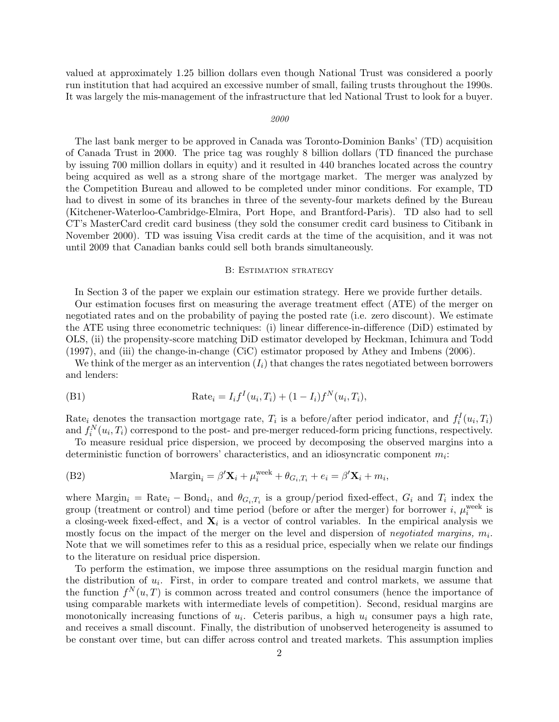valued at approximately 1.25 billion dollars even though National Trust was considered a poorly run institution that had acquired an excessive number of small, failing trusts throughout the 1990s. It was largely the mis-management of the infrastructure that led National Trust to look for a buyer.

#### 2000

The last bank merger to be approved in Canada was Toronto-Dominion Banks' (TD) acquisition of Canada Trust in 2000. The price tag was roughly 8 billion dollars (TD financed the purchase by issuing 700 million dollars in equity) and it resulted in 440 branches located across the country being acquired as well as a strong share of the mortgage market. The merger was analyzed by the Competition Bureau and allowed to be completed under minor conditions. For example, TD had to divest in some of its branches in three of the seventy-four markets defined by the Bureau (Kitchener-Waterloo-Cambridge-Elmira, Port Hope, and Brantford-Paris). TD also had to sell CT's MasterCard credit card business (they sold the consumer credit card business to Citibank in November 2000). TD was issuing Visa credit cards at the time of the acquisition, and it was not until 2009 that Canadian banks could sell both brands simultaneously.

## B: Estimation strategy

In Section 3 of the paper we explain our estimation strategy. Here we provide further details.

Our estimation focuses first on measuring the average treatment effect (ATE) of the merger on negotiated rates and on the probability of paying the posted rate (i.e. zero discount). We estimate the ATE using three econometric techniques: (i) linear difference-in-difference (DiD) estimated by OLS, (ii) the propensity-score matching DiD estimator developed by Heckman, Ichimura and Todd (1997), and (iii) the change-in-change (CiC) estimator proposed by Athey and Imbens (2006).

We think of the merger as an intervention  $(I_i)$  that changes the rates negotiated between borrowers and lenders:

(B1) 
$$
Rate_i = I_i f^{I}(u_i, T_i) + (1 - I_i) f^{N}(u_i, T_i),
$$

Rate<sub>i</sub> denotes the transaction mortgage rate,  $T_i$  is a before/after period indicator, and  $f_i^I(u_i, T_i)$ and  $f_i^N(u_i, T_i)$  correspond to the post- and pre-merger reduced-form pricing functions, respectively.

To measure residual price dispersion, we proceed by decomposing the observed margins into a deterministic function of borrowers' characteristics, and an idiosyncratic component  $m_i$ :

(B2) 
$$
\text{Margin}_i = \beta' \mathbf{X}_i + \mu_i^{\text{week}} + \theta_{G_i, T_i} + e_i = \beta' \mathbf{X}_i + m_i,
$$

where  $\text{Margin}_i = \text{Rate}_i - \text{Bond}_i$ , and  $\theta_{G_i, T_i}$  is a group/period fixed-effect,  $G_i$  and  $T_i$  index the group (treatment or control) and time period (before or after the merger) for borrower  $i, \mu_i^{\text{week}}$  is a closing-week fixed-effect, and  $\mathbf{X}_i$  is a vector of control variables. In the empirical analysis we mostly focus on the impact of the merger on the level and dispersion of negotiated margins,  $m_i$ . Note that we will sometimes refer to this as a residual price, especially when we relate our findings to the literature on residual price dispersion.

To perform the estimation, we impose three assumptions on the residual margin function and the distribution of  $u_i$ . First, in order to compare treated and control markets, we assume that the function  $f^{N}(u,T)$  is common across treated and control consumers (hence the importance of using comparable markets with intermediate levels of competition). Second, residual margins are monotonically increasing functions of  $u_i$ . Ceteris paribus, a high  $u_i$  consumer pays a high rate, and receives a small discount. Finally, the distribution of unobserved heterogeneity is assumed to be constant over time, but can differ across control and treated markets. This assumption implies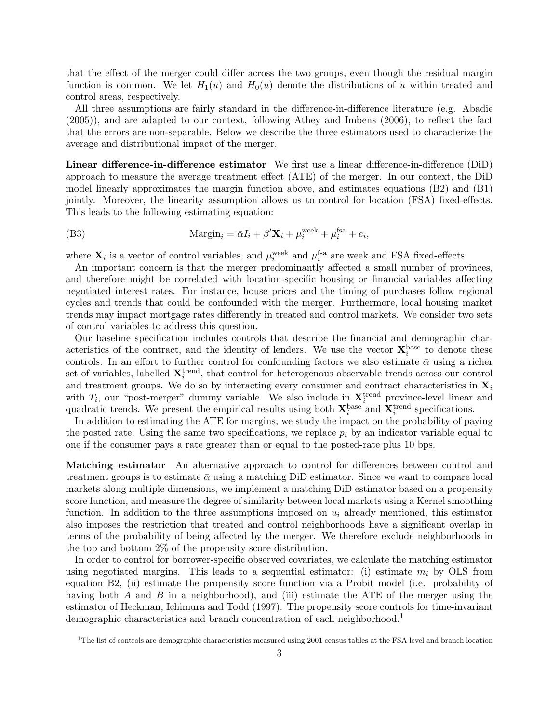that the effect of the merger could differ across the two groups, even though the residual margin function is common. We let  $H_1(u)$  and  $H_0(u)$  denote the distributions of u within treated and control areas, respectively.

All three assumptions are fairly standard in the difference-in-difference literature (e.g. Abadie (2005)), and are adapted to our context, following Athey and Imbens (2006), to reflect the fact that the errors are non-separable. Below we describe the three estimators used to characterize the average and distributional impact of the merger.

Linear difference-in-difference estimator We first use a linear difference-in-difference (DiD) approach to measure the average treatment effect (ATE) of the merger. In our context, the DiD model linearly approximates the margin function above, and estimates equations (B2) and (B1) jointly. Moreover, the linearity assumption allows us to control for location (FSA) fixed-effects. This leads to the following estimating equation:

(B3) 
$$
\text{Margin}_i = \bar{\alpha}I_i + \beta' \mathbf{X}_i + \mu_i^{\text{week}} + \mu_i^{\text{fa}} + e_i,
$$

where  $\mathbf{X}_i$  is a vector of control variables, and  $\mu_i^{\text{week}}$  and  $\mu_i^{\text{fsa}}$  are week and FSA fixed-effects.

An important concern is that the merger predominantly affected a small number of provinces, and therefore might be correlated with location-specific housing or financial variables affecting negotiated interest rates. For instance, house prices and the timing of purchases follow regional cycles and trends that could be confounded with the merger. Furthermore, local housing market trends may impact mortgage rates differently in treated and control markets. We consider two sets of control variables to address this question.

Our baseline specification includes controls that describe the financial and demographic characteristics of the contract, and the identity of lenders. We use the vector  $\mathbf{X}_i^{\text{base}}$  to denote these controls. In an effort to further control for confounding factors we also estimate  $\bar{\alpha}$  using a richer set of variables, labelled  $\mathbf{X}_i^{\text{trend}}$ , that control for heterogenous observable trends across our control and treatment groups. We do so by interacting every consumer and contract characteristics in  $\mathbf{X}_i$ with  $T_i$ , our "post-merger" dummy variable. We also include in  $\mathbf{X}_i^{\text{trend}}$  province-level linear and quadratic trends. We present the empirical results using both  $\mathbf{X}_i^{\text{base}}$  and  $\mathbf{X}_i^{\text{trend}}$  specifications.

In addition to estimating the ATE for margins, we study the impact on the probability of paying the posted rate. Using the same two specifications, we replace  $p_i$  by an indicator variable equal to one if the consumer pays a rate greater than or equal to the posted-rate plus 10 bps.

Matching estimator An alternative approach to control for differences between control and treatment groups is to estimate  $\bar{\alpha}$  using a matching DiD estimator. Since we want to compare local markets along multiple dimensions, we implement a matching DiD estimator based on a propensity score function, and measure the degree of similarity between local markets using a Kernel smoothing function. In addition to the three assumptions imposed on  $u_i$  already mentioned, this estimator also imposes the restriction that treated and control neighborhoods have a significant overlap in terms of the probability of being affected by the merger. We therefore exclude neighborhoods in the top and bottom 2% of the propensity score distribution.

In order to control for borrower-specific observed covariates, we calculate the matching estimator using negotiated margins. This leads to a sequential estimator: (i) estimate  $m_i$  by OLS from equation B2, (ii) estimate the propensity score function via a Probit model (i.e. probability of having both A and B in a neighborhood), and (iii) estimate the ATE of the merger using the estimator of Heckman, Ichimura and Todd (1997). The propensity score controls for time-invariant demographic characteristics and branch concentration of each neighborhood.<sup>1</sup>

 $1$ The list of controls are demographic characteristics measured using 2001 census tables at the FSA level and branch location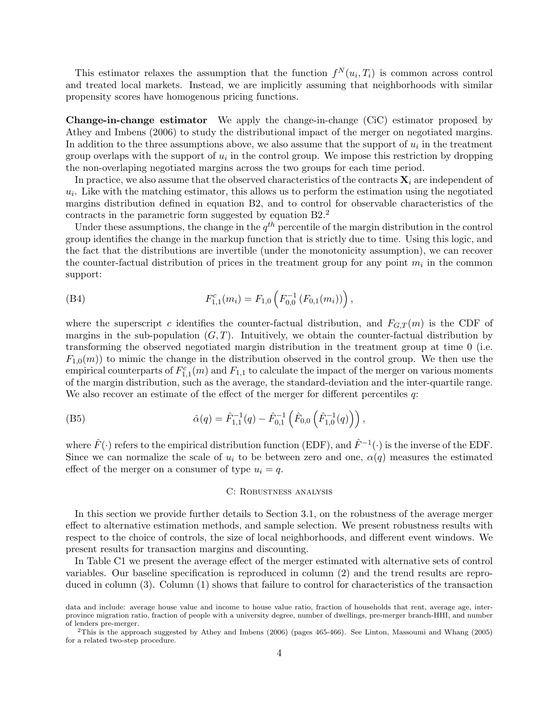This estimator relaxes the assumption that the function  $f^N(u_i, T_i)$  is common across control and treated local markets. Instead, we are implicitly assuming that neighborhoods with similar propensity scores have homogenous pricing functions.

Change-in-change estimator We apply the change-in-change (CiC) estimator proposed by Athey and Imbens (2006) to study the distributional impact of the merger on negotiated margins. In addition to the three assumptions above, we also assume that the support of  $u_i$  in the treatment group overlaps with the support of  $u_i$  in the control group. We impose this restriction by dropping the non-overlaping negotiated margins across the two groups for each time period.

In practice, we also assume that the observed characteristics of the contracts  $\mathbf{X}_i$  are independent of  $u_i$ . Like with the matching estimator, this allows us to perform the estimation using the negotiated margins distribution defined in equation B2, and to control for observable characteristics of the contracts in the parametric form suggested by equation B2.<sup>2</sup>

Under these assumptions, the change in the  $q^{th}$  percentile of the margin distribution in the control group identifies the change in the markup function that is strictly due to time. Using this logic, and the fact that the distributions are invertible (under the monotonicity assumption), we can recover the counter-factual distribution of prices in the treatment group for any point  $m_i$  in the common support:

(B4) 
$$
F_{1,1}^{c}(m_{i}) = F_{1,0}\left(F_{0,0}^{-1}\left(F_{0,1}(m_{i})\right)\right),
$$

where the superscript c identifies the counter-factual distribution, and  $F_{G,T}(m)$  is the CDF of margins in the sub-population  $(G, T)$ . Intuitively, we obtain the counter-factual distribution by transforming the observed negotiated margin distribution in the treatment group at time 0 (i.e.  $F_{1,0}(m)$ ) to mimic the change in the distribution observed in the control group. We then use the empirical counterparts of  $F_{1,1}^c(m)$  and  $F_{1,1}$  to calculate the impact of the merger on various moments of the margin distribution, such as the average, the standard-deviation and the inter-quartile range. We also recover an estimate of the effect of the merger for different percentiles q:

(B5) 
$$
\hat{\alpha}(q) = \hat{F}_{1,1}^{-1}(q) - \hat{F}_{0,1}^{-1}(\hat{F}_{0,0}(\hat{F}_{1,0}^{-1}(q))) ,
$$

where  $\hat{F}(\cdot)$  refers to the empirical distribution function (EDF), and  $\hat{F}^{-1}(\cdot)$  is the inverse of the EDF. Since we can normalize the scale of  $u_i$  to be between zero and one,  $\alpha(q)$  measures the estimated effect of the merger on a consumer of type  $u_i = q$ .

# C: Robustness analysis

In this section we provide further details to Section 3.1, on the robustness of the average merger effect to alternative estimation methods, and sample selection. We present robustness results with respect to the choice of controls, the size of local neighborhoods, and different event windows. We present results for transaction margins and discounting.

In Table C1 we present the average effect of the merger estimated with alternative sets of control variables. Our baseline specification is reproduced in column (2) and the trend results are reproduced in column (3). Column (1) shows that failure to control for characteristics of the transaction

data and include: average house value and income to house value ratio, fraction of households that rent, average age, interprovince migration ratio, fraction of people with a university degree, number of dwellings, pre-merger branch-HHI, and number of lenders pre-merger.

 $2$ This is the approach suggested by Athey and Imbens (2006) (pages 465-466). See Linton, Massoumi and Whang (2005) for a related two-step procedure.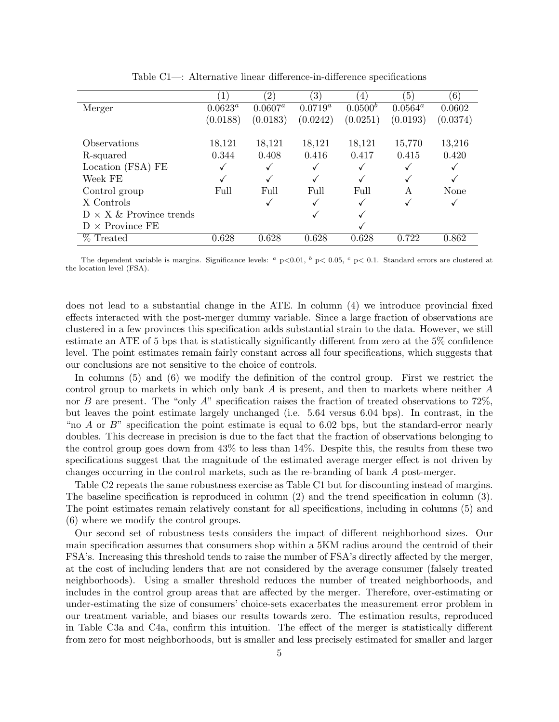|                                 |            | $\left( 2\right)$ | $\left(3\right)$ | $\overline{4}$ | $\left(5\right)$ | (6)      |
|---------------------------------|------------|-------------------|------------------|----------------|------------------|----------|
| Merger                          | $0.0623^a$ | $0.0607^a$        | $0.0719^a$       | $0.0500^{b}$   | $0.0564^a$       | 0.0602   |
|                                 | (0.0188)   | (0.0183)          | (0.0242)         | (0.0251)       | (0.0193)         | (0.0374) |
|                                 |            |                   |                  |                |                  |          |
| Observations                    | 18,121     | 18,121            | 18,121           | 18,121         | 15,770           | 13,216   |
| R-squared                       | 0.344      | 0.408             | 0.416            | 0.417          | 0.415            | 0.420    |
| Location (FSA) FE               |            |                   | √                |                |                  |          |
| Week FE                         |            |                   | √                |                | ✓                |          |
| Control group                   | Full       | Full              | Full             | Full           | А                | None     |
| X Controls                      |            |                   | √                |                |                  |          |
| $D \times X \&$ Province trends |            |                   | √                |                |                  |          |
| $D \times$ Province FE          |            |                   |                  |                |                  |          |
| Treated                         | 0.628      | 0.628             | 0.628            | 0.628          | 0.722            | 0.862    |

Table C1—: Alternative linear difference-in-difference specifications

The dependent variable is margins. Significance levels:  $a p<0.01$ ,  $b p<0.05$ ,  $c p<0.1$ . Standard errors are clustered at the location level (FSA).

does not lead to a substantial change in the ATE. In column (4) we introduce provincial fixed effects interacted with the post-merger dummy variable. Since a large fraction of observations are clustered in a few provinces this specification adds substantial strain to the data. However, we still estimate an ATE of 5 bps that is statistically significantly different from zero at the 5% confidence level. The point estimates remain fairly constant across all four specifications, which suggests that our conclusions are not sensitive to the choice of controls.

In columns (5) and (6) we modify the definition of the control group. First we restrict the control group to markets in which only bank A is present, and then to markets where neither A nor B are present. The "only A" specification raises the fraction of treated observations to  $72\%$ , but leaves the point estimate largely unchanged (i.e. 5.64 versus 6.04 bps). In contrast, in the "no A or  $B$ " specification the point estimate is equal to 6.02 bps, but the standard-error nearly doubles. This decrease in precision is due to the fact that the fraction of observations belonging to the control group goes down from 43% to less than 14%. Despite this, the results from these two specifications suggest that the magnitude of the estimated average merger effect is not driven by changes occurring in the control markets, such as the re-branding of bank A post-merger.

Table C2 repeats the same robustness exercise as Table C1 but for discounting instead of margins. The baseline specification is reproduced in column (2) and the trend specification in column (3). The point estimates remain relatively constant for all specifications, including in columns (5) and (6) where we modify the control groups.

Our second set of robustness tests considers the impact of different neighborhood sizes. Our main specification assumes that consumers shop within a 5KM radius around the centroid of their FSA's. Increasing this threshold tends to raise the number of FSA's directly affected by the merger, at the cost of including lenders that are not considered by the average consumer (falsely treated neighborhoods). Using a smaller threshold reduces the number of treated neighborhoods, and includes in the control group areas that are affected by the merger. Therefore, over-estimating or under-estimating the size of consumers' choice-sets exacerbates the measurement error problem in our treatment variable, and biases our results towards zero. The estimation results, reproduced in Table C3a and C4a, confirm this intuition. The effect of the merger is statistically different from zero for most neighborhoods, but is smaller and less precisely estimated for smaller and larger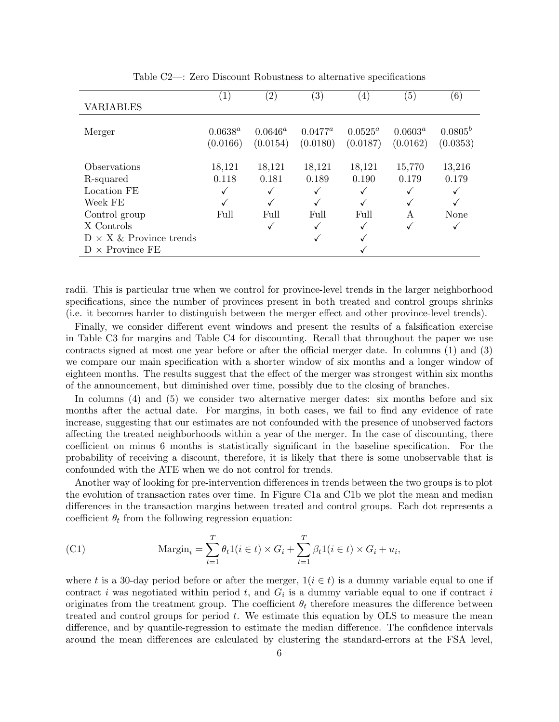|                                 | $\left(1\right)$ | $\left( 2\right)$ | $\left( 3\right)$ | $\left( 4\right)$ | (5)        | (6)        |
|---------------------------------|------------------|-------------------|-------------------|-------------------|------------|------------|
| <b>VARIABLES</b>                |                  |                   |                   |                   |            |            |
|                                 |                  |                   |                   |                   |            |            |
| Merger                          | $0.0638^a$       | $0.0646^a$        | $0.0477^a$        | $0.0525^a$        | $0.0603^a$ | $0.0805^b$ |
|                                 |                  |                   |                   |                   |            |            |
|                                 | (0.0166)         | (0.0154)          | (0.0180)          | (0.0187)          | (0.0162)   | (0.0353)   |
|                                 |                  |                   |                   |                   |            |            |
| Observations                    | 18,121           | 18,121            | 18,121            | 18,121            | 15,770     | 13,216     |
| R-squared                       | 0.118            | 0.181             | 0.189             | 0.190             | 0.179      | 0.179      |
| Location FE                     |                  |                   | √                 |                   | ✓          |            |
| Week FE                         |                  | √                 | √                 |                   | ✓          |            |
| Control group                   | Full             | Full              | Full              | Full              | A          | None       |
| X Controls                      |                  | ✓                 | ✓                 |                   | ✓          | √          |
| $D \times X \&$ Province trends |                  |                   | √                 |                   |            |            |
| $D \times$ Province FE          |                  |                   |                   |                   |            |            |
|                                 |                  |                   |                   |                   |            |            |

Table C2—: Zero Discount Robustness to alternative specifications

radii. This is particular true when we control for province-level trends in the larger neighborhood specifications, since the number of provinces present in both treated and control groups shrinks (i.e. it becomes harder to distinguish between the merger effect and other province-level trends).

Finally, we consider different event windows and present the results of a falsification exercise in Table C3 for margins and Table C4 for discounting. Recall that throughout the paper we use contracts signed at most one year before or after the official merger date. In columns (1) and (3) we compare our main specification with a shorter window of six months and a longer window of eighteen months. The results suggest that the effect of the merger was strongest within six months of the announcement, but diminished over time, possibly due to the closing of branches.

In columns (4) and (5) we consider two alternative merger dates: six months before and six months after the actual date. For margins, in both cases, we fail to find any evidence of rate increase, suggesting that our estimates are not confounded with the presence of unobserved factors affecting the treated neighborhoods within a year of the merger. In the case of discounting, there coefficient on minus 6 months is statistically significant in the baseline specification. For the probability of receiving a discount, therefore, it is likely that there is some unobservable that is confounded with the ATE when we do not control for trends.

Another way of looking for pre-intervention differences in trends between the two groups is to plot the evolution of transaction rates over time. In Figure C1a and C1b we plot the mean and median differences in the transaction margins between treated and control groups. Each dot represents a coefficient  $\theta_t$  from the following regression equation:

(C1) 
$$
\text{Margin}_i = \sum_{t=1}^T \theta_t 1(i \in t) \times G_i + \sum_{t=1}^T \beta_t 1(i \in t) \times G_i + u_i,
$$

where t is a 30-day period before or after the merger,  $1(i \in t)$  is a dummy variable equal to one if contract i was negotiated within period t, and  $G_i$  is a dummy variable equal to one if contract i originates from the treatment group. The coefficient  $\theta_t$  therefore measures the difference between treated and control groups for period  $t$ . We estimate this equation by OLS to measure the mean difference, and by quantile-regression to estimate the median difference. The confidence intervals around the mean differences are calculated by clustering the standard-errors at the FSA level,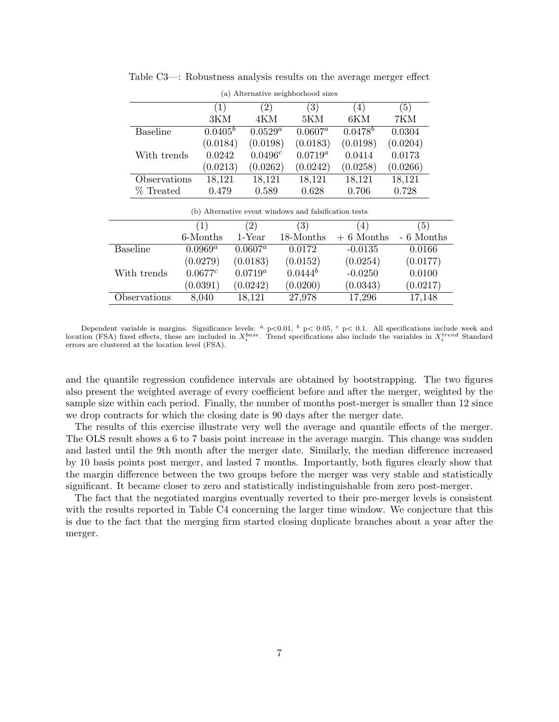|                 |            | $\alpha$ , $\alpha$ intermeted to indigenous notes |                   |                  |          |
|-----------------|------------|----------------------------------------------------|-------------------|------------------|----------|
|                 | (1)        | (2)                                                | $\left( 3\right)$ | $\left(4\right)$ | (5)      |
|                 | 3KM        | 4KM                                                | 5KM               | 6KM              | 7KM      |
| <b>Baseline</b> | $0.0405^b$ | $0.0529^a$                                         | $0.0607^a$        | $0.0478^{b}$     | 0.0304   |
|                 | (0.0184)   | (0.0198)                                           | (0.0183)          | (0.0198)         | (0.0204) |
| With trends     | 0.0242     | $0.0496^{c}$                                       | $0.0719^{a}$      | 0.0414           | 0.0173   |
|                 | (0.0213)   | (0.0262)                                           | (0.0242)          | (0.0258)         | (0.0266) |
| Observations    | 18,121     | 18,121                                             | 18,121            | 18,121           | 18,121   |
| % Treated       | 0.479      | 0.589                                              | 0.628             | 0.706            | 0.728    |

Table C3—: Robustness analysis results on the average merger effect

| (a) Alternative neighborhood sizes |  |
|------------------------------------|--|

| (b) Alternative event windows and falsification tests |  |  |  |
|-------------------------------------------------------|--|--|--|
|                                                       |  |  |  |

|                 |            | (2)        | $\left( 3\right)$ | .4)         | (5)        |
|-----------------|------------|------------|-------------------|-------------|------------|
|                 | 6-Months   | $1$ -Year  | 18-Months         | $+6$ Months | - 6 Months |
| <b>Baseline</b> | $0.0969^a$ | $0.0607^a$ | 0.0172            | $-0.0135$   | 0.0166     |
|                 | (0.0279)   | (0.0183)   | (0.0152)          | (0.0254)    | (0.0177)   |
| With trends     | 0.0677c    | $0.0719^a$ | $0.0444^b$        | $-0.0250$   | 0.0100     |
|                 | (0.0391)   | (0.0242)   | (0.0200)          | (0.0343)    | (0.0217)   |
| Observations    | 8,040      | 18,121     | 27,978            | 17,296      | 17,148     |

Dependent variable is margins. Significance levels:  $a_{\rm p}$   $\sim$  0.01,  $b_{\rm p}$   $\lt$  0.05,  $c_{\rm p}$   $\lt$  0.1. All specifications include week and location (FSA) fixed effects, these are included in  $X_i^{base}$ . Trend specifications also include the variables in  $X_i^{trend}$  Standard errors are clustered at the location level (FSA).

and the quantile regression confidence intervals are obtained by bootstrapping. The two figures also present the weighted average of every coefficient before and after the merger, weighted by the sample size within each period. Finally, the number of months post-merger is smaller than 12 since we drop contracts for which the closing date is 90 days after the merger date.

The results of this exercise illustrate very well the average and quantile effects of the merger. The OLS result shows a 6 to 7 basis point increase in the average margin. This change was sudden and lasted until the 9th month after the merger date. Similarly, the median difference increased by 10 basis points post merger, and lasted 7 months. Importantly, both figures clearly show that the margin difference between the two groups before the merger was very stable and statistically significant. It became closer to zero and statistically indistinguishable from zero post-merger.

The fact that the negotiated margins eventually reverted to their pre-merger levels is consistent with the results reported in Table C4 concerning the larger time window. We conjecture that this is due to the fact that the merging firm started closing duplicate branches about a year after the merger.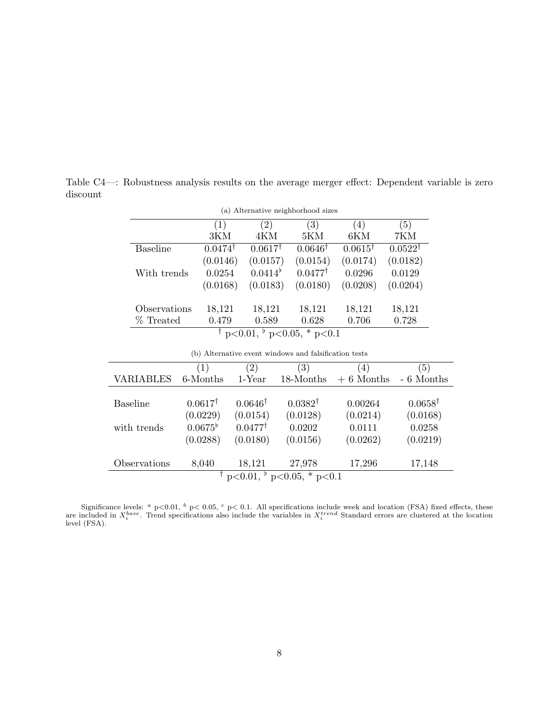| (a) Alternative neighborhood sizes |                    |                    |                                             |                    |                    |  |
|------------------------------------|--------------------|--------------------|---------------------------------------------|--------------------|--------------------|--|
|                                    | (1)                | $^{\prime}2)$      | $\left( 3\right)$                           | (4)                | (5)                |  |
|                                    | 3KM                | 4KM                | 5KM                                         | 6KM                | 7KM                |  |
| <b>Baseline</b>                    | $0.0474^{\dagger}$ | $0.0617^{\dagger}$ | $0.0646^{\dagger}$                          | $0.0615^{\dagger}$ | $0.0522^{\dagger}$ |  |
|                                    | (0.0146)           | (0.0157)           | (0.0154)                                    | (0.0174)           | (0.0182)           |  |
| With trends                        | 0.0254             | $0.0414^{\circ}$   | $0.0477^{\dagger}$                          | 0.0296             | 0.0129             |  |
|                                    | (0.0168)           | (0.0183)           | (0.0180)                                    | (0.0208)           | (0.0204)           |  |
| Observations                       | 18,121             | 18,121             | 18,121                                      | 18,121             | 18,121             |  |
| % Treated                          | 0.479              | 0.589              | 0.628                                       | 0.706              | 0.728              |  |
|                                    |                    |                    | $\overline{p}$ p<0.05, $\overline{p}$ p<0.1 |                    |                    |  |

Table C4—: Robustness analysis results on the average merger effect: Dependent variable is zero discount

|  |  |  |  |  |  | (b) Alternative event windows and falsification tests |  |
|--|--|--|--|--|--|-------------------------------------------------------|--|
|--|--|--|--|--|--|-------------------------------------------------------|--|

|                                              | $\left(1\right)$   | (2)                | $\left( 3\right)$  | $\vert 4 \vert$ | $\left(5\right)$   |  |
|----------------------------------------------|--------------------|--------------------|--------------------|-----------------|--------------------|--|
| VARIABLES                                    | 6-Months           | $1$ -Year          | 18-Months          | $+6$ Months     | - 6 Months         |  |
|                                              |                    |                    |                    |                 |                    |  |
| Baseline                                     | $0.0617^{\dagger}$ | $0.0646^{\dagger}$ | $0.0382^{\dagger}$ | 0.00264         | $0.0658^{\dagger}$ |  |
|                                              | (0.0229)           | (0.0154)           | (0.0128)           | (0.0214)        | (0.0168)           |  |
| with trends                                  | $0.0675^{\circ}$   | $0.0477^{\dagger}$ | 0.0202             | 0.0111          | 0.0258             |  |
|                                              | (0.0288)           | (0.0180)           | (0.0156)           | (0.0262)        | (0.0219)           |  |
|                                              |                    |                    |                    |                 |                    |  |
| Observations                                 | 8,040              | 18,121             | 27,978             | 17,296          | 17,148             |  |
| $\overline{p}$ p<0.05, * p<0.1<br>$p<0.01$ , |                    |                    |                    |                 |                    |  |
|                                              |                    |                    |                    |                 |                    |  |

Significance levels: <sup>a</sup> p<0.01, <sup>b</sup> p< 0.05, <sup>c</sup> p< 0.1. All specifications include week and location (FSA) fixed effects, these are included in  $X_i^{base}$ . Trend specifications also include the variables in  $X_i^{trend}$  Standard errors are clustered at the location level (FSA).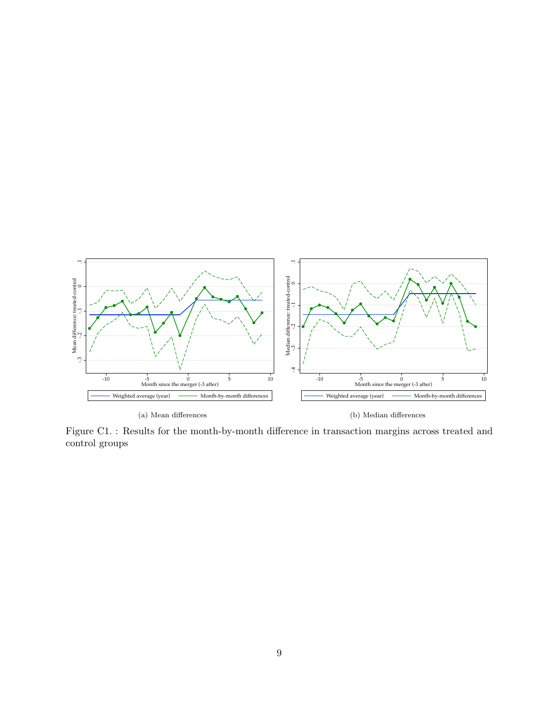

Figure C1. : Results for the month-by-month difference in transaction margins across treated and control groups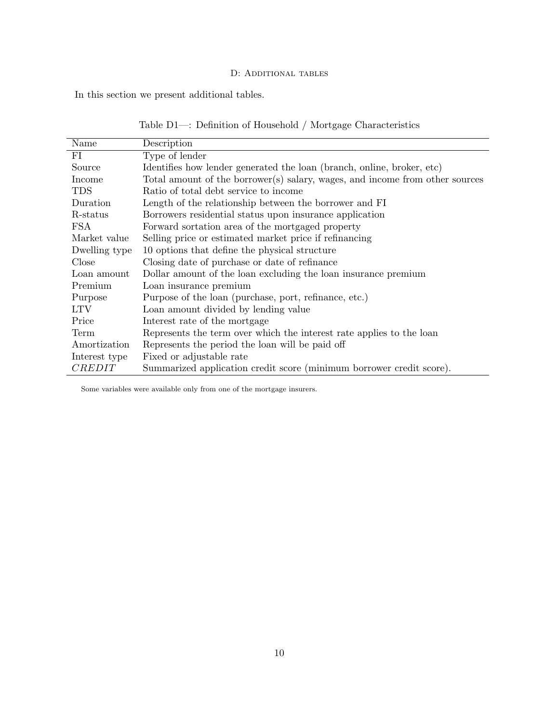# D: ADDITIONAL TABLES

In this section we present additional tables.

| Table D1—: Definition of Household / Mortgage Characteristics |  |  |
|---------------------------------------------------------------|--|--|
|---------------------------------------------------------------|--|--|

| Name          | Description                                                                  |
|---------------|------------------------------------------------------------------------------|
| FI            | Type of lender                                                               |
| Source        | Identifies how lender generated the loan (branch, online, broker, etc)       |
| Income        | Total amount of the borrower(s) salary, wages, and income from other sources |
| <b>TDS</b>    | Ratio of total debt service to income                                        |
| Duration      | Length of the relationship between the borrower and FI                       |
| R-status      | Borrowers residential status upon insurance application                      |
| FSA           | Forward sortation area of the mortgaged property                             |
| Market value  | Selling price or estimated market price if refinancing                       |
| Dwelling type | 10 options that define the physical structure                                |
| Close         | Closing date of purchase or date of refinance                                |
| Loan amount   | Dollar amount of the loan excluding the loan insurance premium               |
| Premium       | Loan insurance premium                                                       |
| Purpose       | Purpose of the loan (purchase, port, refinance, etc.)                        |
| <b>LTV</b>    | Loan amount divided by lending value                                         |
| Price         | Interest rate of the mortgage                                                |
| Term          | Represents the term over which the interest rate applies to the loan         |
| Amortization  | Represents the period the loan will be paid off                              |
| Interest type | Fixed or adjustable rate                                                     |
| <i>CREDIT</i> | Summarized application credit score (minimum borrower credit score).         |

Some variables were available only from one of the mortgage insurers.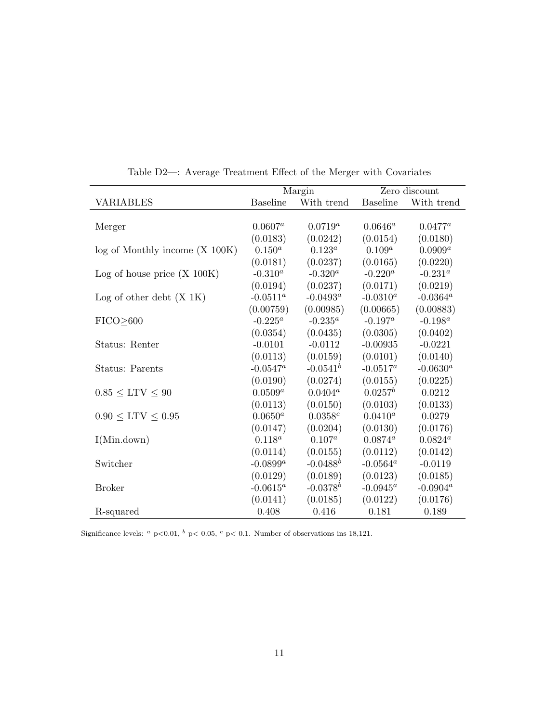|                                |                 | Margin      |                 | Zero discount |
|--------------------------------|-----------------|-------------|-----------------|---------------|
| <b>VARIABLES</b>               | <b>Baseline</b> | With trend  | <b>Baseline</b> | With trend    |
|                                |                 |             |                 |               |
| Merger                         | $0.0607^a$      | $0.0719^a$  | $0.0646^a$      | $0.0477^a$    |
|                                | (0.0183)        | (0.0242)    | (0.0154)        | (0.0180)      |
| log of Monthly income (X 100K) | $0.150^{a}$     | $0.123^a$   | $0.109^{a}$     | $0.0909^a$    |
|                                | (0.0181)        | (0.0237)    | (0.0165)        | (0.0220)      |
| Log of house price $(X 100K)$  | $-0.310^a$      | $-0.320^a$  | $-0.220^a$      | $-0.231^a$    |
|                                | (0.0194)        | (0.0237)    | (0.0171)        | (0.0219)      |
| Log of other debt $(X 1K)$     | $-0.0511^a$     | $-0.0493^a$ | $-0.0310^{a}$   | $-0.0364^a$   |
|                                | (0.00759)       | (0.00985)   | (0.00665)       | (0.00883)     |
| FICO <sub>2600</sub>           | $-0.225^a$      | $-0.235^a$  | $-0.197^a$      | $-0.198^a$    |
|                                | (0.0354)        | (0.0435)    | (0.0305)        | (0.0402)      |
| Status: Renter                 | $-0.0101$       | $-0.0112$   | $-0.00935$      | $-0.0221$     |
|                                | (0.0113)        | (0.0159)    | (0.0101)        | (0.0140)      |
| Status: Parents                | $-0.0547^a$     | $-0.0541^b$ | $-0.0517^a$     | $-0.0630^{a}$ |
|                                | (0.0190)        | (0.0274)    | (0.0155)        | (0.0225)      |
| $0.85 \leq \text{LTV} \leq 90$ | $0.0509^{a}$    | $0.0404^a$  | $0.0257^b$      | 0.0212        |
|                                | (0.0113)        | (0.0150)    | (0.0103)        | (0.0133)      |
| $0.90 \leq$ LTV $\leq 0.95$    | $0.0650^{a}$    | 0.0358c     | $0.0410^a$      | 0.0279        |
|                                | (0.0147)        | (0.0204)    | (0.0130)        | (0.0176)      |
| I(Min.down)                    | $0.118^a$       | $0.107^a$   | $0.0874^a$      | $0.0824^a$    |
|                                | (0.0114)        | (0.0155)    | (0.0112)        | (0.0142)      |
| Switcher                       | $-0.0899^a$     | $-0.0488^b$ | $-0.0564^a$     | $-0.0119$     |
|                                | (0.0129)        | (0.0189)    | (0.0123)        | (0.0185)      |
| <b>Broker</b>                  | $-0.0615^a$     | $-0.0378^b$ | $-0.0945^a$     | $-0.0904^a$   |
|                                | (0.0141)        | (0.0185)    | (0.0122)        | (0.0176)      |
| R-squared                      | 0.408           | 0.416       | 0.181           | 0.189         |

Table D2—: Average Treatment Effect of the Merger with Covariates

Significance levels:  $a p<0.01$ ,  $b p<0.05$ ,  $c p<0.1$ . Number of observations ins 18,121.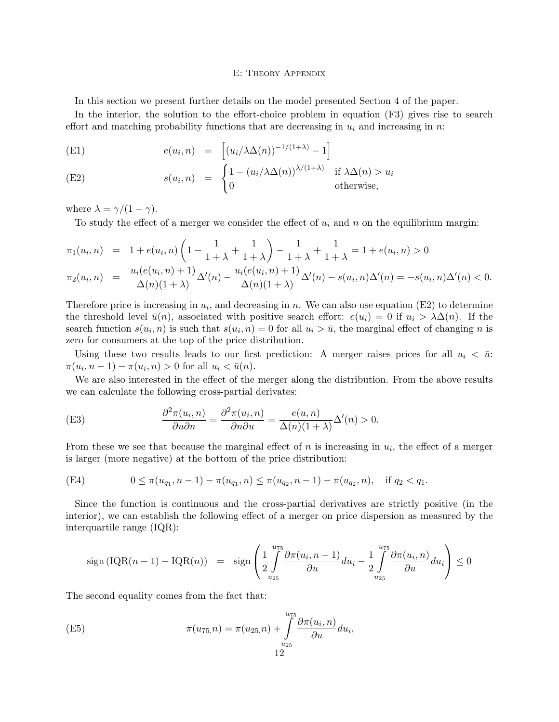### E: Theory Appendix

In this section we present further details on the model presented Section 4 of the paper.

In the interior, the solution to the effort-choice problem in equation (F3) gives rise to search effort and matching probability functions that are decreasing in  $u_i$  and increasing in n:

(E1) 
$$
e(u_i, n) = \left[ (u_i/\lambda \Delta(n))^{-1/(1+\lambda)} - 1 \right]
$$

(E2) 
$$
s(u_i, n) = \begin{cases} 1 - (u_i/\lambda \Delta(n))^{\lambda/(1+\lambda)} & \text{if } \lambda \Delta(n) > u_i \\ 0 & \text{otherwise,} \end{cases}
$$

where  $\lambda = \gamma/(1 - \gamma)$ .

To study the effect of a merger we consider the effect of  $u_i$  and n on the equilibrium margin:

$$
\pi_1(u_i, n) = 1 + e(u_i, n) \left( 1 - \frac{1}{1 + \lambda} + \frac{1}{1 + \lambda} \right) - \frac{1}{1 + \lambda} + \frac{1}{1 + \lambda} = 1 + e(u_i, n) > 0
$$
  

$$
\pi_2(u_i, n) = \frac{u_i(e(u_i, n) + 1)}{\Delta(n)(1 + \lambda)} \Delta'(n) - \frac{u_i(e(u_i, n) + 1)}{\Delta(n)(1 + \lambda)} \Delta'(n) - s(u_i, n) \Delta'(n) = -s(u_i, n) \Delta'(n) < 0.
$$

Therefore price is increasing in  $u_i$ , and decreasing in n. We can also use equation (E2) to determine the threshold level  $\bar{u}(n)$ , associated with positive search effort:  $e(u_i) = 0$  if  $u_i > \lambda \Delta(n)$ . If the search function  $s(u_i, n)$  is such that  $s(u_i, n) = 0$  for all  $u_i > \bar{u}$ , the marginal effect of changing n is zero for consumers at the top of the price distribution.

Using these two results leads to our first prediction: A merger raises prices for all  $u_i < \bar{u}$ :  $\pi(u_i, n-1) - \pi(u_i, n) > 0$  for all  $u_i < \bar{u}(n)$ .

We are also interested in the effect of the merger along the distribution. From the above results we can calculate the following cross-partial derivates:

(E3) 
$$
\frac{\partial^2 \pi(u_i, n)}{\partial u \partial n} = \frac{\partial^2 \pi(u_i, n)}{\partial n \partial u} = \frac{e(u, n)}{\Delta(n)(1 + \lambda)} \Delta'(n) > 0.
$$

From these we see that because the marginal effect of  $n$  is increasing in  $u_i$ , the effect of a merger is larger (more negative) at the bottom of the price distribution:

(E4) 
$$
0 \leq \pi(u_{q_1}, n-1) - \pi(u_{q_1}, n) \leq \pi(u_{q_2}, n-1) - \pi(u_{q_2}, n), \text{ if } q_2 < q_1.
$$

Since the function is continuous and the cross-partial derivatives are strictly positive (in the interior), we can establish the following effect of a merger on price dispersion as measured by the interquartile range (IQR):

$$
\operatorname{sign}\left(\operatorname{IQR}(n-1) - \operatorname{IQR}(n)\right) = \operatorname{sign}\left(\frac{1}{2} \int_{u_{25}}^{u_{75}} \frac{\partial \pi(u_i, n-1)}{\partial u} du_i - \frac{1}{2} \int_{u_{25}}^{u_{75}} \frac{\partial \pi(u_i, n)}{\partial u} du_i\right) \le 0
$$

The second equality comes from the fact that:

(E5) 
$$
\pi(u_{75,}n) = \pi(u_{25,n}) + \int_{u_{25}}^{u_{75}} \frac{\partial \pi(u_i, n)}{\partial u} du_i,
$$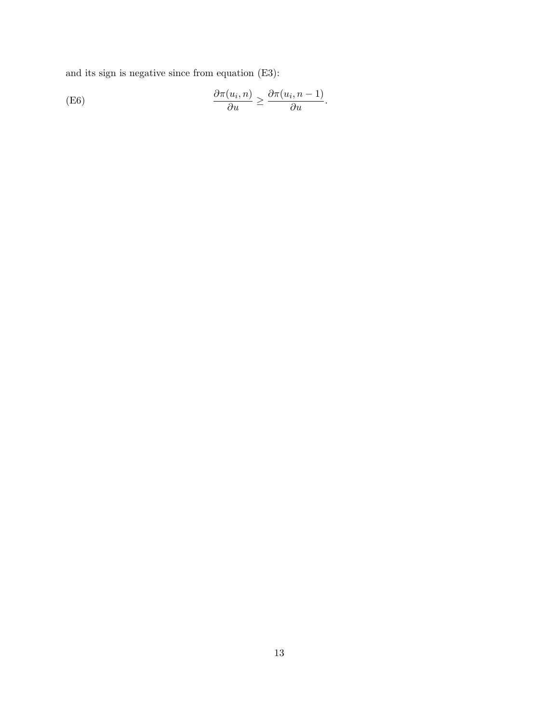and its sign is negative since from equation (E3):

(E6) 
$$
\frac{\partial \pi(u_i, n)}{\partial u} \geq \frac{\partial \pi(u_i, n-1)}{\partial u}.
$$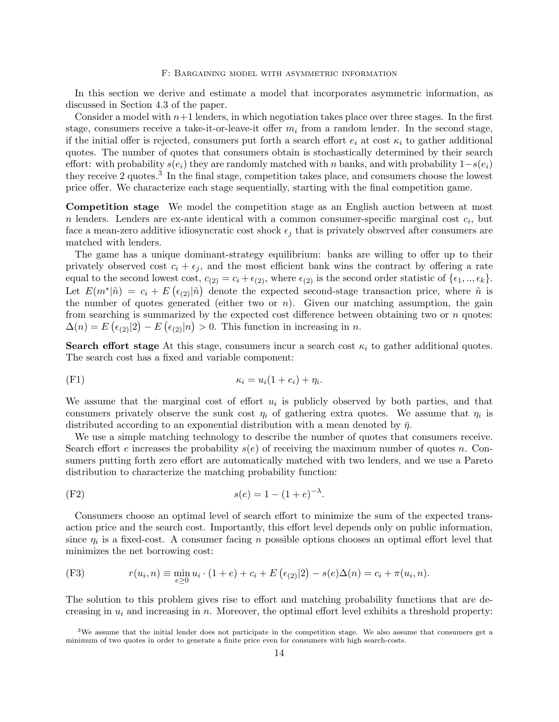#### F: Bargaining model with asymmetric information

In this section we derive and estimate a model that incorporates asymmetric information, as discussed in Section 4.3 of the paper.

Consider a model with  $n+1$  lenders, in which negotiation takes place over three stages. In the first stage, consumers receive a take-it-or-leave-it offer  $m_i$  from a random lender. In the second stage, if the initial offer is rejected, consumers put forth a search effort  $e_i$  at cost  $\kappa_i$  to gather additional quotes. The number of quotes that consumers obtain is stochastically determined by their search effort: with probability  $s(e_i)$  they are randomly matched with n banks, and with probability  $1-s(e_i)$ they receive 2 quotes.<sup>3</sup> In the final stage, competition takes place, and consumers choose the lowest price offer. We characterize each stage sequentially, starting with the final competition game.

Competition stage We model the competition stage as an English auction between at most n lenders. Lenders are ex-ante identical with a common consumer-specific marginal cost  $c_i$ , but face a mean-zero additive idiosyncratic cost shock  $\epsilon_i$  that is privately observed after consumers are matched with lenders.

The game has a unique dominant-strategy equilibrium: banks are willing to offer up to their privately observed cost  $c_i + \epsilon_j$ , and the most efficient bank wins the contract by offering a rate equal to the second lowest cost,  $c_{(2)} = c_i + \epsilon_{(2)}$ , where  $\epsilon_{(2)}$  is the second order statistic of  $\{\epsilon_1, ..., \epsilon_k\}.$ Let  $E(m^*|\tilde{n}) = c_i + E(\epsilon_{(2)}|\tilde{n})$  denote the expected second-stage transaction price, where  $\tilde{n}$  is the number of quotes generated (either two or  $n$ ). Given our matching assumption, the gain from searching is summarized by the expected cost difference between obtaining two or  $n$  quotes:  $\Delta(n) = E\left(\epsilon_{(2)}|2\right) - E\left(\epsilon_{(2)}|n\right) > 0.$  This function in increasing in n.

**Search effort stage** At this stage, consumers incur a search cost  $\kappa_i$  to gather additional quotes. The search cost has a fixed and variable component:

$$
\kappa_i = u_i(1+e_i) + \eta_i.
$$

We assume that the marginal cost of effort  $u_i$  is publicly observed by both parties, and that consumers privately observe the sunk cost  $\eta_i$  of gathering extra quotes. We assume that  $\eta_i$  is distributed according to an exponential distribution with a mean denoted by  $\bar{\eta}$ .

We use a simple matching technology to describe the number of quotes that consumers receive. Search effort e increases the probability  $s(e)$  of receiving the maximum number of quotes n. Consumers putting forth zero effort are automatically matched with two lenders, and we use a Pareto distribution to characterize the matching probability function:

(F2) 
$$
s(e) = 1 - (1 + e)^{-\lambda}
$$
.

Consumers choose an optimal level of search effort to minimize the sum of the expected transaction price and the search cost. Importantly, this effort level depends only on public information, since  $\eta_i$  is a fixed-cost. A consumer facing n possible options chooses an optimal effort level that minimizes the net borrowing cost:

(F3) 
$$
r(u_i, n) \equiv \min_{e \ge 0} u_i \cdot (1 + e) + c_i + E\left(\epsilon_{(2)}|2\right) - s(e)\Delta(n) = c_i + \pi(u_i, n).
$$

The solution to this problem gives rise to effort and matching probability functions that are decreasing in  $u_i$  and increasing in n. Moreover, the optimal effort level exhibits a threshold property:

 $3$ We assume that the initial lender does not participate in the competition stage. We also assume that consumers get a minimum of two quotes in order to generate a finite price even for consumers with high search-costs.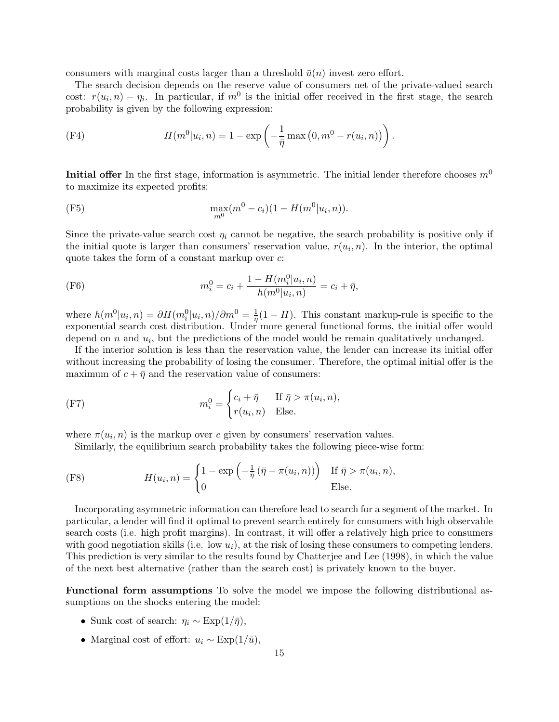consumers with marginal costs larger than a threshold  $\bar{u}(n)$  invest zero effort.

The search decision depends on the reserve value of consumers net of the private-valued search cost:  $r(u_i, n) - \eta_i$ . In particular, if  $m^0$  is the initial offer received in the first stage, the search probability is given by the following expression:

(F4) 
$$
H(m^{0}|u_{i}, n) = 1 - \exp\left(-\frac{1}{\bar{\eta}}\max(0, m^{0} - r(u_{i}, n))\right).
$$

**Initial offer** In the first stage, information is asymmetric. The initial lender therefore chooses  $m<sup>0</sup>$ to maximize its expected profits:

(F5) 
$$
\max_{m^0}(m^0 - c_i)(1 - H(m^0|u_i, n)).
$$

Since the private-value search cost  $\eta_i$  cannot be negative, the search probability is positive only if the initial quote is larger than consumers' reservation value,  $r(u_i, n)$ . In the interior, the optimal quote takes the form of a constant markup over  $c$ :

(F6) 
$$
m_i^0 = c_i + \frac{1 - H(m_i^0|u_i, n)}{h(m^0|u_i, n)} = c_i + \bar{\eta},
$$

where  $h(m^0|u_i, n) = \partial H(m_i^0|u_i, n)/\partial m^0 = \frac{1}{\bar{n}}$  $\frac{1}{\bar{\eta}}(1-H)$ . This constant markup-rule is specific to the exponential search cost distribution. Under more general functional forms, the initial offer would depend on  $n$  and  $u_i$ , but the predictions of the model would be remain qualitatively unchanged.

If the interior solution is less than the reservation value, the lender can increase its initial offer without increasing the probability of losing the consumer. Therefore, the optimal initial offer is the maximum of  $c + \bar{\eta}$  and the reservation value of consumers:

(F7) 
$$
m_i^0 = \begin{cases} c_i + \bar{\eta} & \text{If } \bar{\eta} > \pi(u_i, n), \\ r(u_i, n) & \text{Else.} \end{cases}
$$

where  $\pi(u_i, n)$  is the markup over c given by consumers' reservation values.

Similarly, the equilibrium search probability takes the following piece-wise form:

(F8) 
$$
H(u_i, n) = \begin{cases} 1 - \exp\left(-\frac{1}{\bar{\eta}}\left(\bar{\eta} - \pi(u_i, n)\right)\right) & \text{If } \bar{\eta} > \pi(u_i, n), \\ 0 & \text{Else.} \end{cases}
$$

Incorporating asymmetric information can therefore lead to search for a segment of the market. In particular, a lender will find it optimal to prevent search entirely for consumers with high observable search costs (i.e. high profit margins). In contrast, it will offer a relatively high price to consumers with good negotiation skills (i.e. low  $u_i$ ), at the risk of losing these consumers to competing lenders. This prediction is very similar to the results found by Chatterjee and Lee (1998), in which the value of the next best alternative (rather than the search cost) is privately known to the buyer.

Functional form assumptions To solve the model we impose the following distributional assumptions on the shocks entering the model:

- Sunk cost of search:  $\eta_i \sim \text{Exp}(1/\bar{\eta}),$
- Marginal cost of effort:  $u_i \sim \text{Exp}(1/\bar{u}),$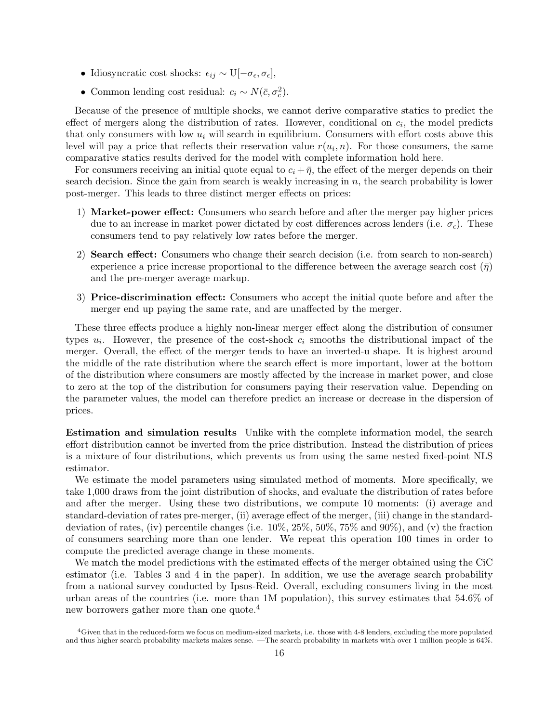- Idiosyncratic cost shocks:  $\epsilon_{ij} \sim \text{U}[-\sigma_{\epsilon}, \sigma_{\epsilon}],$
- Common lending cost residual:  $c_i \sim N(\bar{c}, \sigma_c^2)$ .

Because of the presence of multiple shocks, we cannot derive comparative statics to predict the effect of mergers along the distribution of rates. However, conditional on  $c_i$ , the model predicts that only consumers with low  $u_i$  will search in equilibrium. Consumers with effort costs above this level will pay a price that reflects their reservation value  $r(u_i, n)$ . For those consumers, the same comparative statics results derived for the model with complete information hold here.

For consumers receiving an initial quote equal to  $c_i + \bar{\eta}$ , the effect of the merger depends on their search decision. Since the gain from search is weakly increasing in  $n$ , the search probability is lower post-merger. This leads to three distinct merger effects on prices:

- 1) Market-power effect: Consumers who search before and after the merger pay higher prices due to an increase in market power dictated by cost differences across lenders (i.e.  $\sigma_{\epsilon}$ ). These consumers tend to pay relatively low rates before the merger.
- 2) Search effect: Consumers who change their search decision (i.e. from search to non-search) experience a price increase proportional to the difference between the average search cost  $(\bar{\eta})$ and the pre-merger average markup.
- 3) Price-discrimination effect: Consumers who accept the initial quote before and after the merger end up paying the same rate, and are unaffected by the merger.

These three effects produce a highly non-linear merger effect along the distribution of consumer types  $u_i$ . However, the presence of the cost-shock  $c_i$  smooths the distributional impact of the merger. Overall, the effect of the merger tends to have an inverted-u shape. It is highest around the middle of the rate distribution where the search effect is more important, lower at the bottom of the distribution where consumers are mostly affected by the increase in market power, and close to zero at the top of the distribution for consumers paying their reservation value. Depending on the parameter values, the model can therefore predict an increase or decrease in the dispersion of prices.

Estimation and simulation results Unlike with the complete information model, the search effort distribution cannot be inverted from the price distribution. Instead the distribution of prices is a mixture of four distributions, which prevents us from using the same nested fixed-point NLS estimator.

We estimate the model parameters using simulated method of moments. More specifically, we take 1,000 draws from the joint distribution of shocks, and evaluate the distribution of rates before and after the merger. Using these two distributions, we compute 10 moments: (i) average and standard-deviation of rates pre-merger, (ii) average effect of the merger, (iii) change in the standarddeviation of rates, (iv) percentile changes (i.e. 10%, 25%, 50%, 75% and 90%), and (v) the fraction of consumers searching more than one lender. We repeat this operation 100 times in order to compute the predicted average change in these moments.

We match the model predictions with the estimated effects of the merger obtained using the CiC estimator (i.e. Tables 3 and 4 in the paper). In addition, we use the average search probability from a national survey conducted by Ipsos-Reid. Overall, excluding consumers living in the most urban areas of the countries (i.e. more than 1M population), this survey estimates that 54.6% of new borrowers gather more than one quote.<sup>4</sup>

<sup>4</sup>Given that in the reduced-form we focus on medium-sized markets, i.e. those with 4-8 lenders, excluding the more populated and thus higher search probability markets makes sense. —The search probability in markets with over 1 million people is 64%.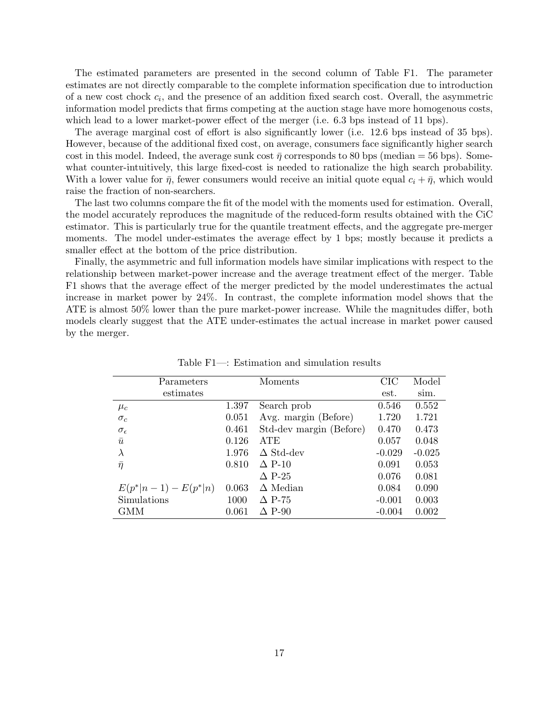The estimated parameters are presented in the second column of Table F1. The parameter estimates are not directly comparable to the complete information specification due to introduction of a new cost chock  $c_i$ , and the presence of an addition fixed search cost. Overall, the asymmetric information model predicts that firms competing at the auction stage have more homogenous costs, which lead to a lower market-power effect of the merger (i.e. 6.3 bps instead of 11 bps).

The average marginal cost of effort is also significantly lower (i.e. 12.6 bps instead of 35 bps). However, because of the additional fixed cost, on average, consumers face significantly higher search cost in this model. Indeed, the average sunk cost  $\bar{\eta}$  corresponds to 80 bps (median = 56 bps). Somewhat counter-intuitively, this large fixed-cost is needed to rationalize the high search probability. With a lower value for  $\bar{\eta}$ , fewer consumers would receive an initial quote equal  $c_i + \bar{\eta}$ , which would raise the fraction of non-searchers.

The last two columns compare the fit of the model with the moments used for estimation. Overall, the model accurately reproduces the magnitude of the reduced-form results obtained with the CiC estimator. This is particularly true for the quantile treatment effects, and the aggregate pre-merger moments. The model under-estimates the average effect by 1 bps; mostly because it predicts a smaller effect at the bottom of the price distribution.

Finally, the asymmetric and full information models have similar implications with respect to the relationship between market-power increase and the average treatment effect of the merger. Table F1 shows that the average effect of the merger predicted by the model underestimates the actual increase in market power by 24%. In contrast, the complete information model shows that the ATE is almost 50% lower than the pure market-power increase. While the magnitudes differ, both models clearly suggest that the ATE under-estimates the actual increase in market power caused by the merger.

| Parameters              |       | Moments                 | CIC      | Model    |
|-------------------------|-------|-------------------------|----------|----------|
| estimates               |       |                         | est.     | sim.     |
| $\mu_c$                 | 1.397 | Search prob             | 0.546    | 0.552    |
| $\sigma_c$              | 0.051 | Avg. margin (Before)    | 1.720    | 1.721    |
| $\sigma_{\epsilon}$     | 0.461 | Std-dev margin (Before) | 0.470    | 0.473    |
| $\bar{u}$               | 0.126 | <b>ATE</b>              | 0.057    | 0.048    |
| $\lambda$               | 1.976 | $\Delta$ Std-dev        | $-0.029$ | $-0.025$ |
| $\bar{\eta}$            | 0.810 | $\Delta$ P-10           | 0.091    | 0.053    |
|                         |       | $\Delta$ P-25           | 0.076    | 0.081    |
| $E(p^* n-1) - E(p^* n)$ | 0.063 | $\Delta$ Median         | 0.084    | 0.090    |
| Simulations             | 1000  | $\Delta$ P-75           | $-0.001$ | 0.003    |
| GMM                     | 0.061 | $\Delta$ P-90           | $-0.004$ | 0.002    |

Table F1—: Estimation and simulation results